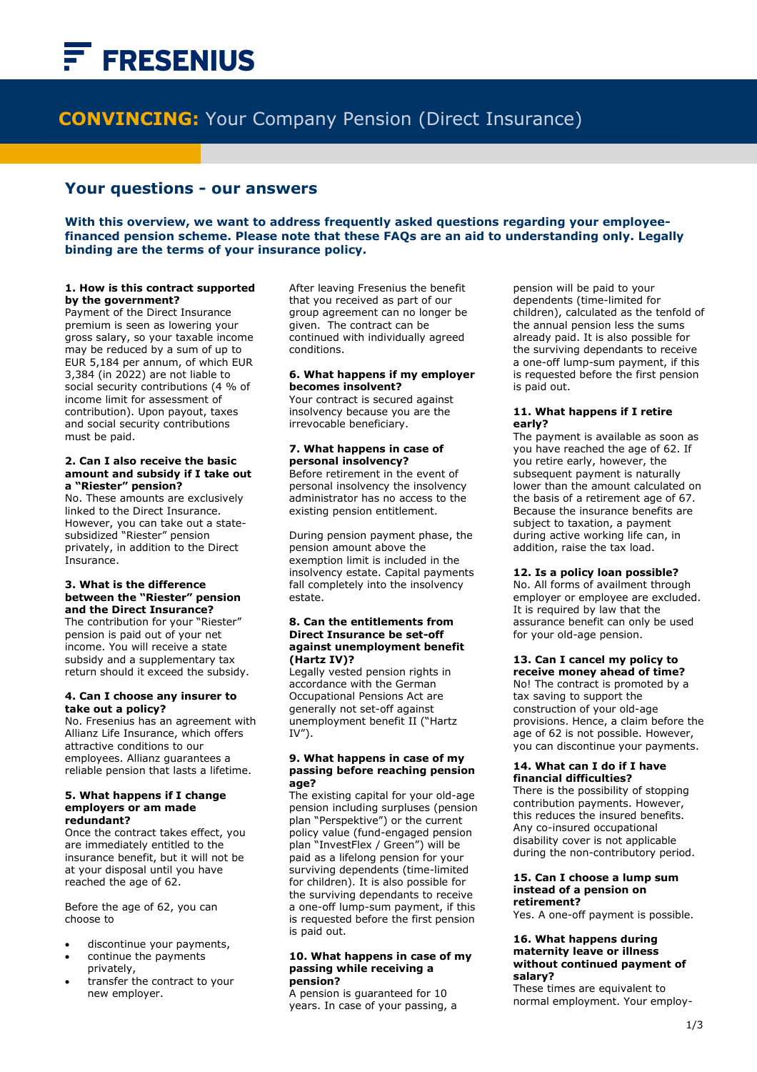# **FRESENIUS**

Ī

## **CONVINCING:** Your Company Pension (Direct Insurance)

### **Your questions - our answers**

**With this overview, we want to address frequently asked questions regarding your employeefinanced pension scheme. Please note that these FAQs are an aid to understanding only. Legally binding are the terms of your insurance policy.** 

i

#### **1. How is this contract supported by the government?**

Payment of the Direct Insurance premium is seen as lowering your gross salary, so your taxable income may be reduced by a sum of up to EUR 5,184 per annum, of which EUR 3,384 (in 2022) are not liable to social security contributions (4 % of income limit for assessment of contribution). Upon payout, taxes and social security contributions must be paid.

#### **2. Can I also receive the basic amount and subsidy if I take out a "Riester" pension?**

No. These amounts are exclusively linked to the Direct Insurance. However, you can take out a statesubsidized "Riester" pension privately, in addition to the Direct Insurance.

#### **3. What is the difference between the "Riester" pension and the Direct Insurance?**

The contribution for your "Riester" pension is paid out of your net income. You will receive a state subsidy and a supplementary tax return should it exceed the subsidy.

#### **4. Can I choose any insurer to take out a policy?**

No. Fresenius has an agreement with Allianz Life Insurance, which offers attractive conditions to our employees. Allianz guarantees a reliable pension that lasts a lifetime.

#### **5. What happens if I change employers or am made redundant?**

Once the contract takes effect, you are immediately entitled to the insurance benefit, but it will not be at your disposal until you have reached the age of 62.

Before the age of 62, you can choose to

- discontinue your payments,
- continue the payments privately,
- transfer the contract to your new employer.

After leaving Fresenius the benefit that you received as part of our group agreement can no longer be given. The contract can be continued with individually agreed conditions.

#### **6. What happens if my employer becomes insolvent?**

Your contract is secured against insolvency because you are the irrevocable beneficiary.

#### **7. What happens in case of personal insolvency?**

Before retirement in the event of personal insolvency the insolvency administrator has no access to the existing pension entitlement.

During pension payment phase, the pension amount above the exemption limit is included in the insolvency estate. Capital payments fall completely into the insolvency estate.

#### **8. Can the entitlements from Direct Insurance be set-off against unemployment benefit (Hartz IV)?**

Legally vested pension rights in accordance with the German Occupational Pensions Act are generally not set-off against unemployment benefit II ("Hartz  $IV''$ ).

#### **9. What happens in case of my passing before reaching pension age?**

The existing capital for your old-age pension including surpluses (pension plan "Perspektive") or the current policy value (fund-engaged pension plan "InvestFlex / Green") will be paid as a lifelong pension for your surviving dependents (time-limited for children). It is also possible for the surviving dependants to receive a one-off lump-sum payment, if this is requested before the first pension is paid out.

#### **10. What happens in case of my passing while receiving a pension?**

A pension is guaranteed for 10 years. In case of your passing, a

pension will be paid to your dependents (time-limited for children), calculated as the tenfold of the annual pension less the sums already paid. It is also possible for the surviving dependants to receive a one-off lump-sum payment, if this is requested before the first pension is paid out.

#### **11. What happens if I retire early?**

The payment is available as soon as you have reached the age of 62. If you retire early, however, the subsequent payment is naturally lower than the amount calculated on the basis of a retirement age of 67. Because the insurance benefits are subject to taxation, a payment during active working life can, in addition, raise the tax load.

#### **12. Is a policy loan possible?**

No. All forms of availment through employer or employee are excluded. It is required by law that the assurance benefit can only be used for your old-age pension.

#### **13. Can I cancel my policy to receive money ahead of time?**

No! The contract is promoted by a tax saving to support the construction of your old-age provisions. Hence, a claim before the age of 62 is not possible. However, you can discontinue your payments.

#### **14. What can I do if I have financial difficulties?**

There is the possibility of stopping contribution payments. However, this reduces the insured benefits. Any co-insured occupational disability cover is not applicable during the non-contributory period.

#### **15. Can I choose a lump sum instead of a pension on retirement?**

Yes. A one-off payment is possible.

#### **16. What happens during maternity leave or illness without continued payment of salary?**

These times are equivalent to normal employment. Your employ-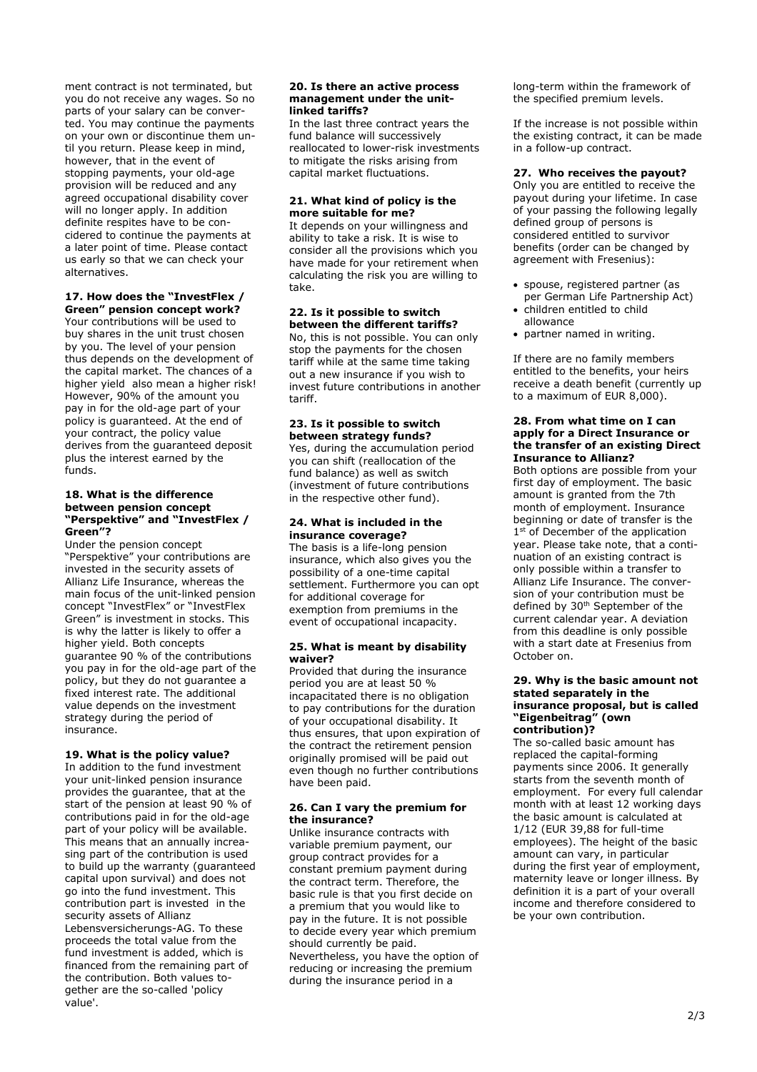ment contract is not terminated, but you do not receive any wages. So no parts of your salary can be converted. You may continue the payments on your own or discontinue them until you return. Please keep in mind, however, that in the event of stopping payments, your old-age provision will be reduced and any agreed occupational disability cover will no longer apply. In addition definite respites have to be concidered to continue the payments at a later point of time. Please contact us early so that we can check your alternatives.

#### **17. How does the "InvestFlex /**

**Green" pension concept work?**  Your contributions will be used to buy shares in the unit trust chosen by you. The level of your pension thus depends on the development of the capital market. The chances of a higher yield also mean a higher risk! However, 90% of the amount you pay in for the old-age part of your policy is guaranteed. At the end of your contract, the policy value derives from the guaranteed deposit plus the interest earned by the funds.

#### **18. What is the difference between pension concept "Perspektive" and "InvestFlex / Green"?**

Under the pension concept "Perspektive" your contributions are invested in the security assets of Allianz Life Insurance, whereas the main focus of the unit-linked pension concept "InvestFlex" or "InvestFlex Green" is investment in stocks. This is why the latter is likely to offer a higher yield. Both concepts guarantee 90 % of the contributions you pay in for the old-age part of the policy, but they do not guarantee a fixed interest rate. The additional value depends on the investment strategy during the period of insurance.

#### **19. What is the policy value?**

In addition to the fund investment your unit-linked pension insurance provides the guarantee, that at the start of the pension at least 90 % of contributions paid in for the old-age part of your policy will be available. This means that an annually increasing part of the contribution is used to build up the warranty (guaranteed capital upon survival) and does not go into the fund investment. This contribution part is invested in the security assets of Allianz Lebensversicherungs-AG. To these proceeds the total value from the fund investment is added, which is financed from the remaining part of the contribution. Both values together are the so-called 'policy value'.

#### **20. Is there an active process management under the unitlinked tariffs?**

In the last three contract years the fund balance will successively reallocated to lower-risk investments to mitigate the risks arising from capital market fluctuations.

#### **21. What kind of policy is the more suitable for me?**

It depends on your willingness and ability to take a risk. It is wise to consider all the provisions which you have made for your retirement when calculating the risk you are willing to take.

#### **22. Is it possible to switch between the different tariffs?**

No, this is not possible. You can only stop the payments for the chosen tariff while at the same time taking out a new insurance if you wish to invest future contributions in another tariff.

#### **23. Is it possible to switch between strategy funds?**

Yes, during the accumulation period you can shift (reallocation of the fund balance) as well as switch (investment of future contributions in the respective other fund).

#### **24. What is included in the insurance coverage?**

The basis is a life-long pension insurance, which also gives you the possibility of a one-time capital settlement. Furthermore you can opt for additional coverage for exemption from premiums in the event of occupational incapacity.

#### **25. What is meant by disability waiver?**

Provided that during the insurance period you are at least 50 % incapacitated there is no obligation to pay contributions for the duration of your occupational disability. It thus ensures, that upon expiration of the contract the retirement pension originally promised will be paid out even though no further contributions have been paid.

#### **26. Can I vary the premium for the insurance?**

Unlike insurance contracts with variable premium payment, our group contract provides for a constant premium payment during the contract term. Therefore, the basic rule is that you first decide on a premium that you would like to pay in the future. It is not possible to decide every year which premium should currently be paid. Nevertheless, you have the option of reducing or increasing the premium during the insurance period in a

long-term within the framework of the specified premium levels.

If the increase is not possible within the existing contract, it can be made in a follow-up contract.

#### **27. Who receives the payout?**

Only you are entitled to receive the payout during your lifetime. In case of your passing the following legally defined group of persons is considered entitled to survivor benefits (order can be changed by agreement with Fresenius):

- spouse, registered partner (as per German Life Partnership Act)
- children entitled to child allowance
- partner named in writing.

If there are no family members entitled to the benefits, your heirs receive a death benefit (currently up to a maximum of EUR 8,000).

#### **28. From what time on I can apply for a Direct Insurance or the transfer of an existing Direct Insurance to Allianz?**

Both options are possible from your first day of employment. The basic amount is granted from the 7th month of employment. Insurance beginning or date of transfer is the 1<sup>st</sup> of December of the application year. Please take note, that a continuation of an existing contract is only possible within a transfer to Allianz Life Insurance. The conversion of your contribution must be defined by 30th September of the current calendar year. A deviation from this deadline is only possible with a start date at Fresenius from October on.

#### **29. Why is the basic amount not stated separately in the insurance proposal, but is called "Eigenbeitrag" (own contribution)?**

The so-called basic amount has replaced the capital-forming payments since 2006. It generally starts from the seventh month of employment. For every full calendar month with at least 12 working days the basic amount is calculated at 1/12 (EUR 39,88 for full-time employees). The height of the basic amount can vary, in particular during the first year of employment, maternity leave or longer illness. By definition it is a part of your overall income and therefore considered to be your own contribution.